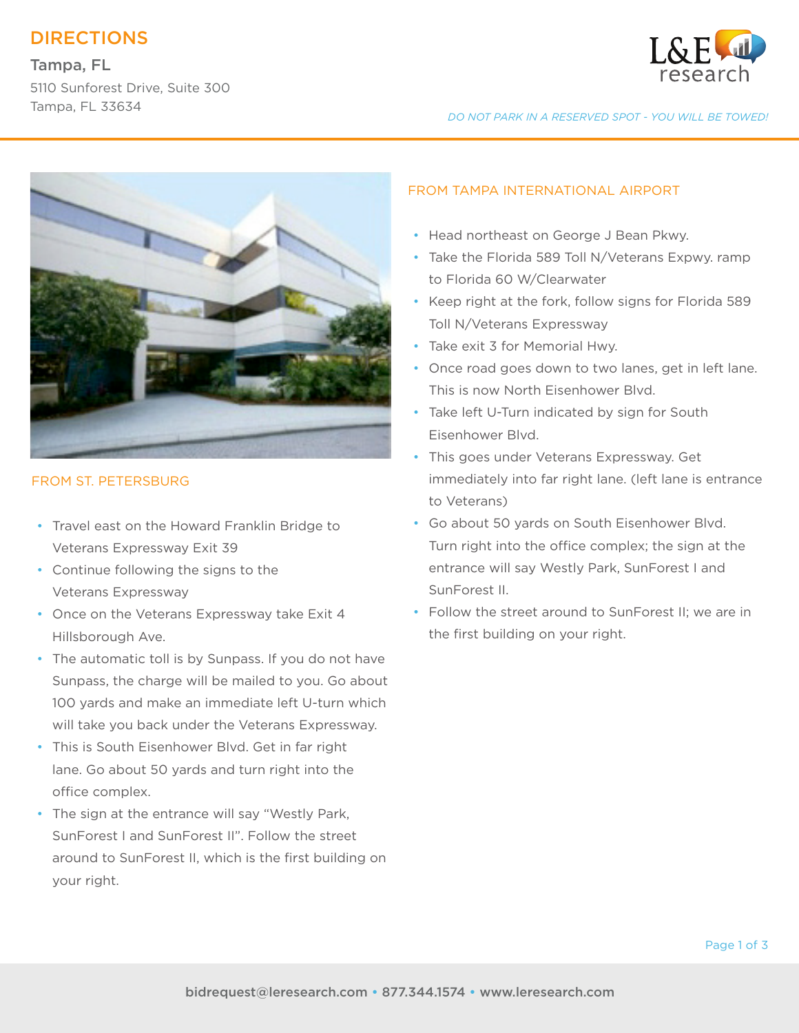# DIRECTIONS

## Tampa, FL

5110 Sunforest Drive, Suite 300 Tampa, FL 33634



*DO NOT PARK IN A RESERVED SPOT - YOU WILL BE TOWED!*



### FROM ST. PETERSBURG

- Travel east on the Howard Franklin Bridge to Veterans Expressway Exit 39
- Continue following the signs to the Veterans Expressway
- Once on the Veterans Expressway take Exit 4 Hillsborough Ave.
- The automatic toll is by Sunpass. If you do not have Sunpass, the charge will be mailed to you. Go about 100 yards and make an immediate left U-turn which will take you back under the Veterans Expressway.
- This is South Eisenhower Blvd. Get in far right lane. Go about 50 yards and turn right into the office complex.
- The sign at the entrance will say "Westly Park, SunForest I and SunForest II". Follow the street around to SunForest II, which is the first building on your right.

### FROM TAMPA INTERNATIONAL AIRPORT

- Head northeast on George J Bean Pkwy.
- Take the Florida 589 Toll N/Veterans Expwy. ramp to Florida 60 W/Clearwater
- Keep right at the fork, follow signs for Florida 589 Toll N/Veterans Expressway
- Take exit 3 for Memorial Hwy.
- Once road goes down to two lanes, get in left lane. This is now North Eisenhower Blvd.
- Take left U-Turn indicated by sign for South Eisenhower Blvd.
- This goes under Veterans Expressway. Get immediately into far right lane. (left lane is entrance to Veterans)
- Go about 50 yards on South Eisenhower Blvd. Turn right into the office complex; the sign at the entrance will say Westly Park, SunForest I and SunForest II.
- Follow the street around to SunForest II; we are in the first building on your right.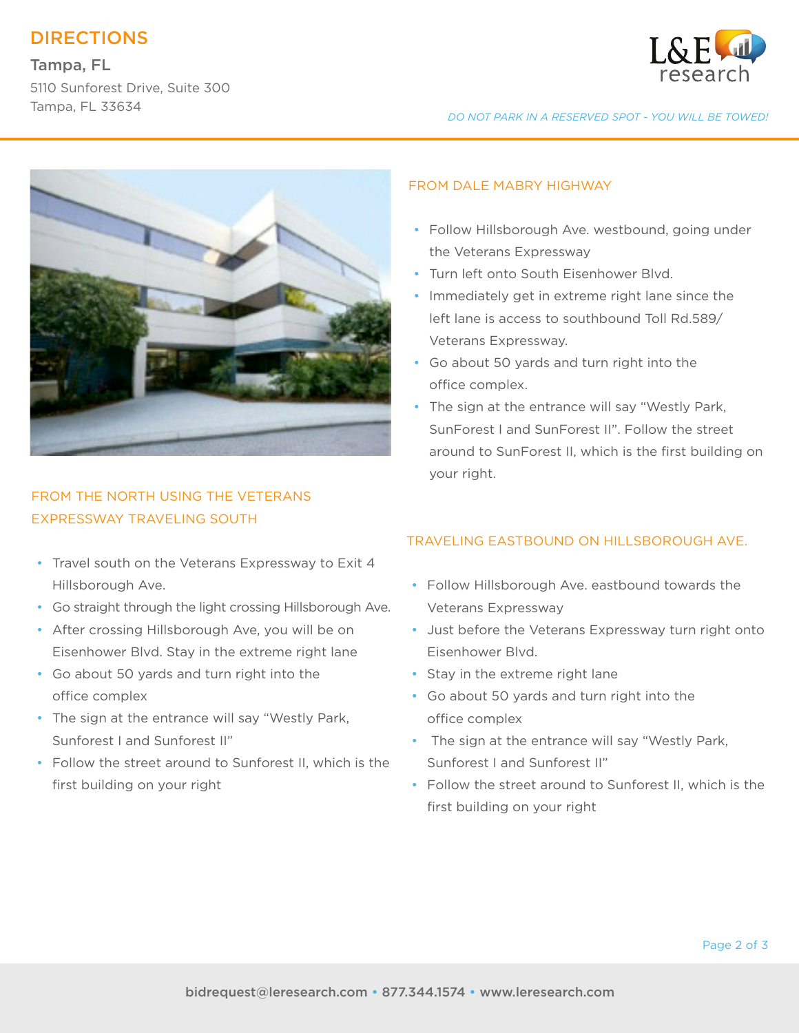# DIRECTIONS

## Tampa, FL

5110 Sunforest Drive, Suite 300 Tampa, FL 33634



*DO NOT PARK IN A RESERVED SPOT - YOU WILL BE TOWED!*



## FROM THE NORTH USING THE VETERANS EXPRESSWAY TRAVELING SOUTH

- Travel south on the Veterans Expressway to Exit 4 Hillsborough Ave.
- Go straight through the light crossing Hillsborough Ave.
- After crossing Hillsborough Ave, you will be on Eisenhower Blvd. Stay in the extreme right lane
- Go about 50 yards and turn right into the office complex
- The sign at the entrance will say "Westly Park, Sunforest I and Sunforest II"
- Follow the street around to Sunforest II, which is the first building on your right

#### FROM DALE MABRY HIGHWAY

- Follow Hillsborough Ave. westbound, going under the Veterans Expressway
- Turn left onto South Eisenhower Blvd.
- Immediately get in extreme right lane since the left lane is access to southbound Toll Rd.589/ Veterans Expressway.
- Go about 50 yards and turn right into the office complex.
- The sign at the entrance will say "Westly Park, SunForest I and SunForest II". Follow the street around to SunForest II, which is the first building on your right.

## TRAVELING EASTBOUND ON HILLSBOROUGH AVE.

- Follow Hillsborough Ave. eastbound towards the Veterans Expressway
- Just before the Veterans Expressway turn right onto Eisenhower Blvd.
- Stay in the extreme right lane
- Go about 50 yards and turn right into the office complex
- The sign at the entrance will say "Westly Park, Sunforest I and Sunforest II"
- Follow the street around to Sunforest II, which is the first building on your right